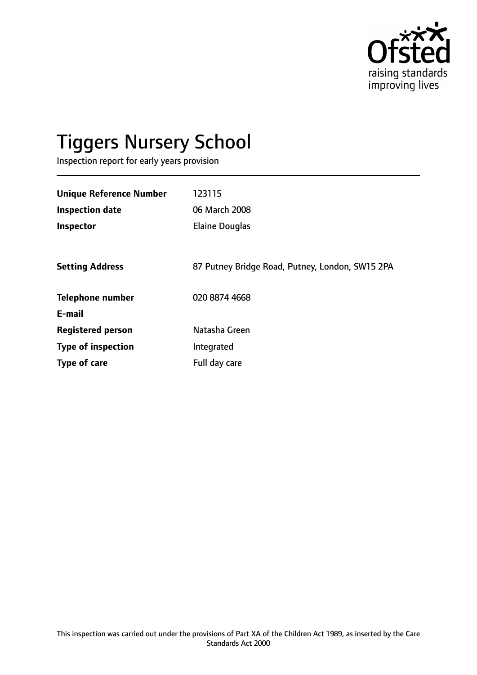

# Tiggers Nursery School

Inspection report for early years provision

| <b>Unique Reference Number</b> | 123115                                          |
|--------------------------------|-------------------------------------------------|
| <b>Inspection date</b>         | 06 March 2008                                   |
| Inspector                      | <b>Elaine Douglas</b>                           |
|                                |                                                 |
| <b>Setting Address</b>         | 87 Putney Bridge Road, Putney, London, SW15 2PA |
| <b>Telephone number</b>        | 020 8874 4668                                   |
| E-mail                         |                                                 |
| <b>Registered person</b>       | Natasha Green                                   |
| <b>Type of inspection</b>      | Integrated                                      |
| <b>Type of care</b>            | Full day care                                   |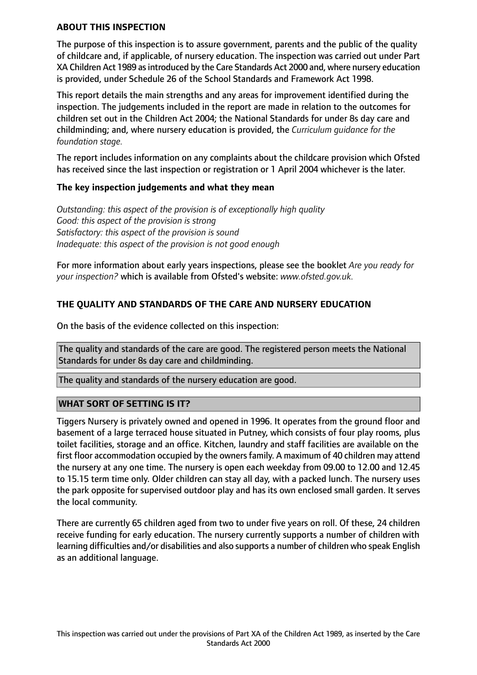## **ABOUT THIS INSPECTION**

The purpose of this inspection is to assure government, parents and the public of the quality of childcare and, if applicable, of nursery education. The inspection was carried out under Part XA Children Act 1989 asintroduced by the Care Standards Act 2000 and, where nursery education is provided, under Schedule 26 of the School Standards and Framework Act 1998.

This report details the main strengths and any areas for improvement identified during the inspection. The judgements included in the report are made in relation to the outcomes for children set out in the Children Act 2004; the National Standards for under 8s day care and childminding; and, where nursery education is provided, the *Curriculum guidance for the foundation stage.*

The report includes information on any complaints about the childcare provision which Ofsted has received since the last inspection or registration or 1 April 2004 whichever is the later.

### **The key inspection judgements and what they mean**

*Outstanding: this aspect of the provision is of exceptionally high quality Good: this aspect of the provision is strong Satisfactory: this aspect of the provision is sound Inadequate: this aspect of the provision is not good enough*

For more information about early years inspections, please see the booklet *Are you ready for your inspection?* which is available from Ofsted's website: *www.ofsted.gov.uk.*

# **THE QUALITY AND STANDARDS OF THE CARE AND NURSERY EDUCATION**

On the basis of the evidence collected on this inspection:

The quality and standards of the care are good. The registered person meets the National Standards for under 8s day care and childminding.

The quality and standards of the nursery education are good.

## **WHAT SORT OF SETTING IS IT?**

Tiggers Nursery is privately owned and opened in 1996. It operates from the ground floor and basement of a large terraced house situated in Putney, which consists of four play rooms, plus toilet facilities, storage and an office. Kitchen, laundry and staff facilities are available on the first floor accommodation occupied by the ownersfamily. A maximum of 40 children may attend the nursery at any one time. The nursery is open each weekday from 09.00 to 12.00 and 12.45 to 15.15 term time only. Older children can stay all day, with a packed lunch. The nursery uses the park opposite for supervised outdoor play and has its own enclosed small garden. It serves the local community.

There are currently 65 children aged from two to under five years on roll. Of these, 24 children receive funding for early education. The nursery currently supports a number of children with learning difficulties and/or disabilities and also supports a number of children who speak English as an additional language.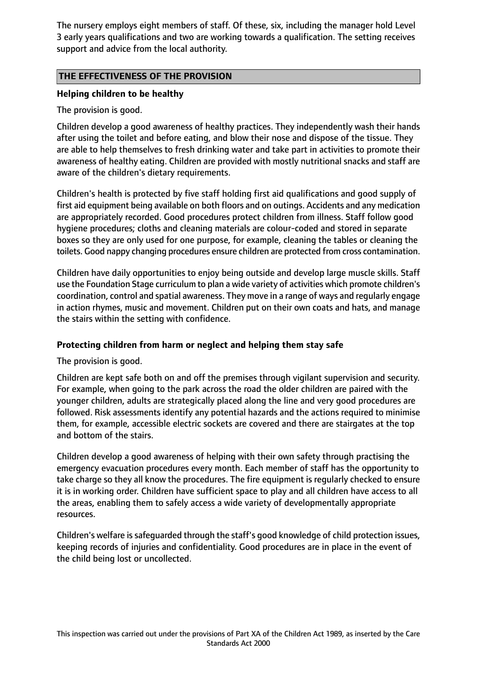The nursery employs eight members of staff. Of these, six, including the manager hold Level 3 early years qualifications and two are working towards a qualification. The setting receives support and advice from the local authority.

## **THE EFFECTIVENESS OF THE PROVISION**

### **Helping children to be healthy**

The provision is good.

Children develop a good awareness of healthy practices. They independently wash their hands after using the toilet and before eating, and blow their nose and dispose of the tissue. They are able to help themselves to fresh drinking water and take part in activities to promote their awareness of healthy eating. Children are provided with mostly nutritional snacks and staff are aware of the children's dietary requirements.

Children's health is protected by five staff holding first aid qualifications and good supply of first aid equipment being available on both floors and on outings. Accidents and any medication are appropriately recorded. Good procedures protect children from illness. Staff follow good hygiene procedures; cloths and cleaning materials are colour-coded and stored in separate boxes so they are only used for one purpose, for example, cleaning the tables or cleaning the toilets. Good nappy changing procedures ensure children are protected from cross contamination.

Children have daily opportunities to enjoy being outside and develop large muscle skills. Staff use the Foundation Stage curriculum to plan a wide variety of activities which promote children's coordination, control and spatial awareness. They move in a range of ways and regularly engage in action rhymes, music and movement. Children put on their own coats and hats, and manage the stairs within the setting with confidence.

## **Protecting children from harm or neglect and helping them stay safe**

The provision is good.

Children are kept safe both on and off the premises through vigilant supervision and security. For example, when going to the park across the road the older children are paired with the younger children, adults are strategically placed along the line and very good procedures are followed. Risk assessments identify any potential hazards and the actions required to minimise them, for example, accessible electric sockets are covered and there are stairgates at the top and bottom of the stairs.

Children develop a good awareness of helping with their own safety through practising the emergency evacuation procedures every month. Each member of staff has the opportunity to take charge so they all know the procedures. The fire equipment is regularly checked to ensure it is in working order. Children have sufficient space to play and all children have access to all the areas, enabling them to safely access a wide variety of developmentally appropriate resources.

Children's welfare is safeguarded through the staff's good knowledge of child protection issues, keeping records of injuries and confidentiality. Good procedures are in place in the event of the child being lost or uncollected.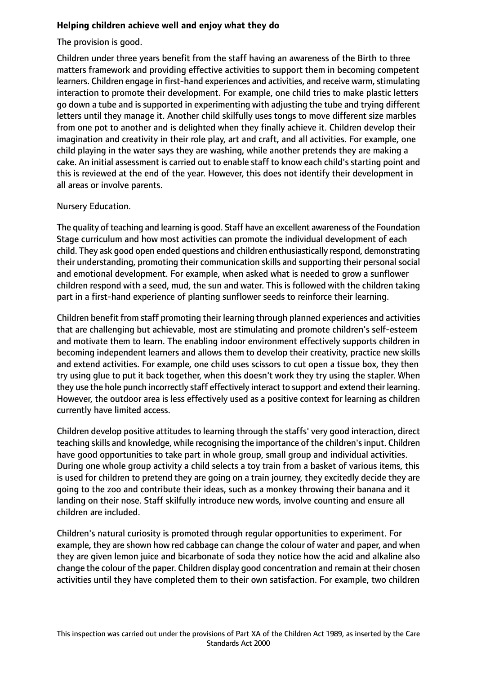# **Helping children achieve well and enjoy what they do**

The provision is good.

Children under three years benefit from the staff having an awareness of the Birth to three matters framework and providing effective activities to support them in becoming competent learners. Children engage in first-hand experiences and activities, and receive warm, stimulating interaction to promote their development. For example, one child tries to make plastic letters go down a tube and is supported in experimenting with adjusting the tube and trying different letters until they manage it. Another child skilfully uses tongs to move different size marbles from one pot to another and is delighted when they finally achieve it. Children develop their imagination and creativity in their role play, art and craft, and all activities. For example, one child playing in the water says they are washing, while another pretends they are making a cake. An initial assessment is carried out to enable staff to know each child's starting point and this is reviewed at the end of the year. However, this does not identify their development in all areas or involve parents.

# Nursery Education.

The quality of teaching and learning is good. Staff have an excellent awareness of the Foundation Stage curriculum and how most activities can promote the individual development of each child. They ask good open ended questions and children enthusiastically respond, demonstrating their understanding, promoting their communication skills and supporting their personal social and emotional development. For example, when asked what is needed to grow a sunflower children respond with a seed, mud, the sun and water. This is followed with the children taking part in a first-hand experience of planting sunflower seeds to reinforce their learning.

Children benefit from staff promoting their learning through planned experiences and activities that are challenging but achievable, most are stimulating and promote children's self-esteem and motivate them to learn. The enabling indoor environment effectively supports children in becoming independent learners and allows them to develop their creativity, practice new skills and extend activities. For example, one child uses scissors to cut open a tissue box, they then try using glue to put it back together, when this doesn't work they try using the stapler. When they use the hole punch incorrectly staff effectively interact to support and extend their learning. However, the outdoor area is less effectively used as a positive context for learning as children currently have limited access.

Children develop positive attitudes to learning through the staffs' very good interaction, direct teaching skills and knowledge, while recognising the importance of the children'sinput. Children have good opportunities to take part in whole group, small group and individual activities. During one whole group activity a child selects a toy train from a basket of various items, this is used for children to pretend they are going on a train journey, they excitedly decide they are going to the zoo and contribute their ideas, such as a monkey throwing their banana and it landing on their nose. Staff skilfully introduce new words, involve counting and ensure all children are included.

Children's natural curiosity is promoted through regular opportunities to experiment. For example, they are shown how red cabbage can change the colour of water and paper, and when they are given lemon juice and bicarbonate of soda they notice how the acid and alkaline also change the colour of the paper. Children display good concentration and remain at their chosen activities until they have completed them to their own satisfaction. For example, two children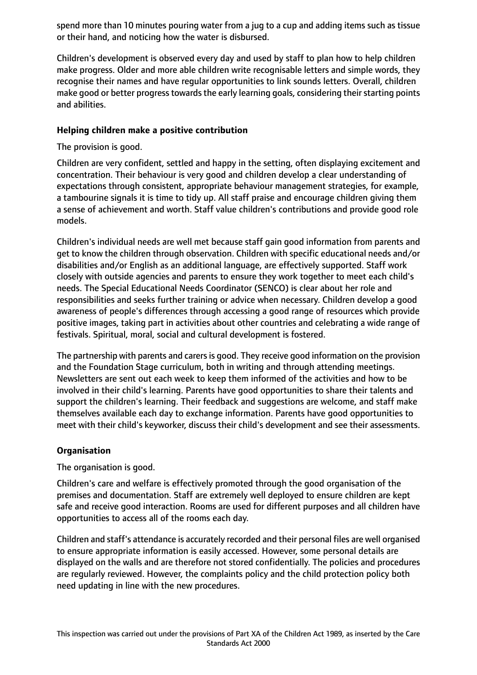spend more than 10 minutes pouring water from a jug to a cup and adding items such as tissue or their hand, and noticing how the water is disbursed.

Children's development is observed every day and used by staff to plan how to help children make progress. Older and more able children write recognisable letters and simple words, they recognise their names and have regular opportunities to link sounds letters. Overall, children make good or better progress towards the early learning goals, considering their starting points and abilities.

## **Helping children make a positive contribution**

The provision is good.

Children are very confident, settled and happy in the setting, often displaying excitement and concentration. Their behaviour is very good and children develop a clear understanding of expectations through consistent, appropriate behaviour management strategies, for example, a tambourine signals it is time to tidy up. All staff praise and encourage children giving them a sense of achievement and worth. Staff value children's contributions and provide good role models.

Children's individual needs are well met because staff gain good information from parents and get to know the children through observation. Children with specific educational needs and/or disabilities and/or English as an additional language, are effectively supported. Staff work closely with outside agencies and parents to ensure they work together to meet each child's needs. The Special Educational Needs Coordinator (SENCO) is clear about her role and responsibilities and seeks further training or advice when necessary. Children develop a good awareness of people's differences through accessing a good range of resources which provide positive images, taking part in activities about other countries and celebrating a wide range of festivals. Spiritual, moral, social and cultural development is fostered.

The partnership with parents and carersis good. They receive good information on the provision and the Foundation Stage curriculum, both in writing and through attending meetings. Newsletters are sent out each week to keep them informed of the activities and how to be involved in their child's learning. Parents have good opportunities to share their talents and support the children's learning. Their feedback and suggestions are welcome, and staff make themselves available each day to exchange information. Parents have good opportunities to meet with their child's keyworker, discuss their child's development and see their assessments.

## **Organisation**

The organisation is good.

Children's care and welfare is effectively promoted through the good organisation of the premises and documentation. Staff are extremely well deployed to ensure children are kept safe and receive good interaction. Rooms are used for different purposes and all children have opportunities to access all of the rooms each day.

Children and staff's attendance is accurately recorded and their personal files are well organised to ensure appropriate information is easily accessed. However, some personal details are displayed on the walls and are therefore not stored confidentially. The policies and procedures are regularly reviewed. However, the complaints policy and the child protection policy both need updating in line with the new procedures.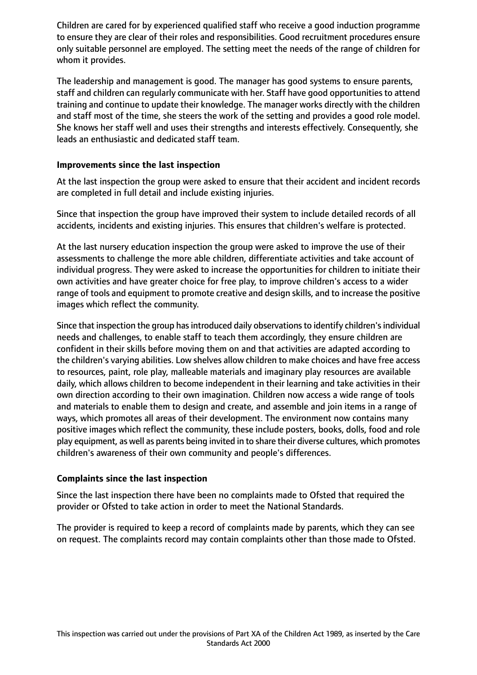Children are cared for by experienced qualified staff who receive a good induction programme to ensure they are clear of their roles and responsibilities. Good recruitment procedures ensure only suitable personnel are employed. The setting meet the needs of the range of children for whom it provides.

The leadership and management is good. The manager has good systems to ensure parents, staff and children can regularly communicate with her. Staff have good opportunities to attend training and continue to update their knowledge. The manager works directly with the children and staff most of the time, she steers the work of the setting and provides a good role model. She knows her staff well and uses their strengths and interests effectively. Consequently, she leads an enthusiastic and dedicated staff team.

## **Improvements since the last inspection**

At the last inspection the group were asked to ensure that their accident and incident records are completed in full detail and include existing injuries.

Since that inspection the group have improved their system to include detailed records of all accidents, incidents and existing injuries. This ensures that children's welfare is protected.

At the last nursery education inspection the group were asked to improve the use of their assessments to challenge the more able children, differentiate activities and take account of individual progress. They were asked to increase the opportunities for children to initiate their own activities and have greater choice for free play, to improve children's access to a wider range of tools and equipment to promote creative and design skills, and to increase the positive images which reflect the community.

Since that inspection the group has introduced daily observations to identify children's individual needs and challenges, to enable staff to teach them accordingly, they ensure children are confident in their skills before moving them on and that activities are adapted according to the children's varying abilities. Low shelves allow children to make choices and have free access to resources, paint, role play, malleable materials and imaginary play resources are available daily, which allows children to become independent in their learning and take activities in their own direction according to their own imagination. Children now access a wide range of tools and materials to enable them to design and create, and assemble and join items in a range of ways, which promotes all areas of their development. The environment now contains many positive images which reflect the community, these include posters, books, dolls, food and role play equipment, as well as parents being invited in to share their diverse cultures, which promotes children's awareness of their own community and people's differences.

# **Complaints since the last inspection**

Since the last inspection there have been no complaints made to Ofsted that required the provider or Ofsted to take action in order to meet the National Standards.

The provider is required to keep a record of complaints made by parents, which they can see on request. The complaints record may contain complaints other than those made to Ofsted.